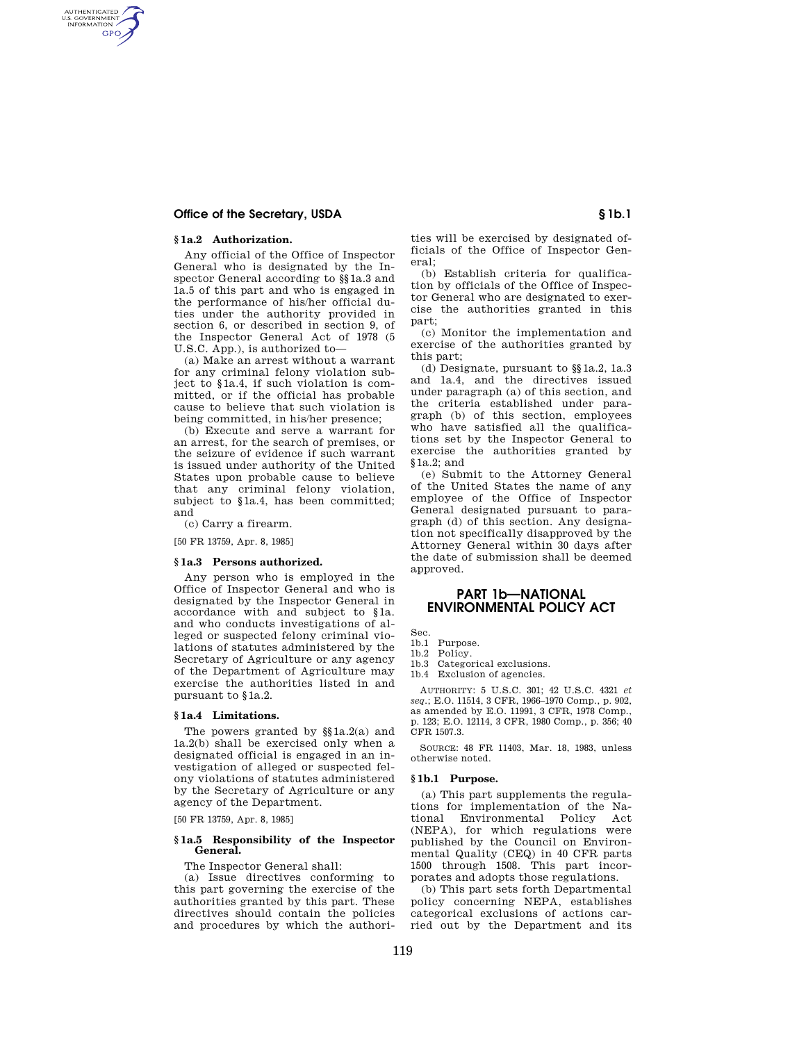# **Office of the Secretary, USDA S** 1b.1

# **§ 1a.2 Authorization.**

AUTHENTICATED<br>U.S. GOVERNMENT<br>INFORMATION **GPO** 

> Any official of the Office of Inspector General who is designated by the Inspector General according to §§1a.3 and 1a.5 of this part and who is engaged in the performance of his/her official duties under the authority provided in section 6, or described in section 9, of the Inspector General Act of 1978 (5 U.S.C. App.), is authorized to—

> (a) Make an arrest without a warrant for any criminal felony violation subject to §1a.4, if such violation is committed, or if the official has probable cause to believe that such violation is being committed, in his/her presence;

> (b) Execute and serve a warrant for an arrest, for the search of premises, or the seizure of evidence if such warrant is issued under authority of the United States upon probable cause to believe that any criminal felony violation, subject to §1a.4, has been committed; and

(c) Carry a firearm.

[50 FR 13759, Apr. 8, 1985]

### **§ 1a.3 Persons authorized.**

Any person who is employed in the Office of Inspector General and who is designated by the Inspector General in accordance with and subject to §1a. and who conducts investigations of alleged or suspected felony criminal violations of statutes administered by the Secretary of Agriculture or any agency of the Department of Agriculture may exercise the authorities listed in and pursuant to §1a.2.

#### **§ 1a.4 Limitations.**

The powers granted by §§1a.2(a) and 1a.2(b) shall be exercised only when a designated official is engaged in an investigation of alleged or suspected felony violations of statutes administered by the Secretary of Agriculture or any agency of the Department.

[50 FR 13759, Apr. 8, 1985]

### **§ 1a.5 Responsibility of the Inspector General.**

The Inspector General shall:

(a) Issue directives conforming to this part governing the exercise of the authorities granted by this part. These directives should contain the policies and procedures by which the authorities will be exercised by designated officials of the Office of Inspector General;

(b) Establish criteria for qualification by officials of the Office of Inspector General who are designated to exercise the authorities granted in this part;

(c) Monitor the implementation and exercise of the authorities granted by this part;

(d) Designate, pursuant to §§1a.2, 1a.3 and 1a.4, and the directives issued under paragraph (a) of this section, and the criteria established under paragraph (b) of this section, employees who have satisfied all the qualifications set by the Inspector General to exercise the authorities granted by §1a.2; and

(e) Submit to the Attorney General of the United States the name of any employee of the Office of Inspector General designated pursuant to paragraph (d) of this section. Any designation not specifically disapproved by the Attorney General within 30 days after the date of submission shall be deemed approved.

# **PART 1b—NATIONAL ENVIRONMENTAL POLICY ACT**

Sec.

1b.1 Purpose.

Categorical exclusions. 1b.4 Exclusion of agencies.

AUTHORITY: 5 U.S.C. 301; 42 U.S.C. 4321 *et seq*.; E.O. 11514, 3 CFR, 1966–1970 Comp., p. 902, as amended by E.O. 11991, 3 CFR, 1978 Comp., p. 123; E.O. 12114, 3 CFR, 1980 Comp., p. 356; 40 CFR 1507.3.

SOURCE: 48 FR 11403, Mar. 18, 1983, unless otherwise noted.

#### **§ 1b.1 Purpose.**

(a) This part supplements the regulations for implementation of the National Environmental Policy Act (NEPA), for which regulations were published by the Council on Environmental Quality (CEQ) in 40 CFR parts 1500 through 1508. This part incorporates and adopts those regulations.

(b) This part sets forth Departmental policy concerning NEPA, establishes categorical exclusions of actions carried out by the Department and its

<sup>1</sup>b.2 Policy.<br>1b.3 Categor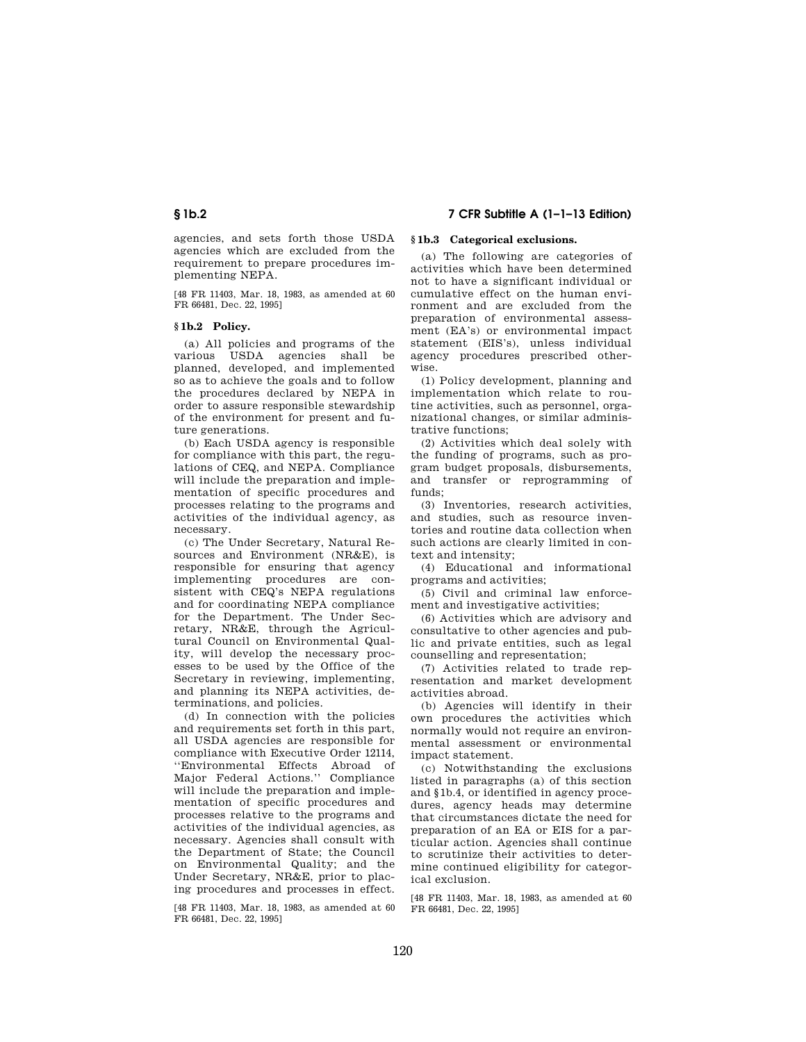agencies, and sets forth those USDA agencies which are excluded from the requirement to prepare procedures implementing NEPA.

[48 FR 11403, Mar. 18, 1983, as amended at 60 FR 66481, Dec. 22, 1995]

## **§ 1b.2 Policy.**

(a) All policies and programs of the various USDA agencies shall be planned, developed, and implemented so as to achieve the goals and to follow the procedures declared by NEPA in order to assure responsible stewardship of the environment for present and future generations.

(b) Each USDA agency is responsible for compliance with this part, the regulations of CEQ, and NEPA. Compliance will include the preparation and implementation of specific procedures and processes relating to the programs and activities of the individual agency, as necessary.

(c) The Under Secretary, Natural Resources and Environment (NR&E), is responsible for ensuring that agency implementing procedures are consistent with CEQ's NEPA regulations and for coordinating NEPA compliance for the Department. The Under Secretary, NR&E, through the Agricultural Council on Environmental Quality, will develop the necessary processes to be used by the Office of the Secretary in reviewing, implementing, and planning its NEPA activities, determinations, and policies.

(d) In connection with the policies and requirements set forth in this part, all USDA agencies are responsible for compliance with Executive Order 12114, ''Environmental Effects Abroad of Major Federal Actions.'' Compliance will include the preparation and implementation of specific procedures and processes relative to the programs and activities of the individual agencies, as necessary. Agencies shall consult with the Department of State; the Council on Environmental Quality; and the Under Secretary, NR&E, prior to placing procedures and processes in effect.

[48 FR 11403, Mar. 18, 1983, as amended at 60 FR 66481, Dec. 22, 1995]

# **§ 1b.2 7 CFR Subtitle A (1–1–13 Edition)**

## **§ 1b.3 Categorical exclusions.**

(a) The following are categories of activities which have been determined not to have a significant individual or cumulative effect on the human environment and are excluded from the preparation of environmental assessment (EA's) or environmental impact statement (EIS's), unless individual agency procedures prescribed otherwise.

(1) Policy development, planning and implementation which relate to routine activities, such as personnel, organizational changes, or similar administrative functions;

(2) Activities which deal solely with the funding of programs, such as program budget proposals, disbursements, and transfer or reprogramming of funds;

(3) Inventories, research activities, and studies, such as resource inventories and routine data collection when such actions are clearly limited in context and intensity;

(4) Educational and informational programs and activities;

(5) Civil and criminal law enforcement and investigative activities;

(6) Activities which are advisory and consultative to other agencies and public and private entities, such as legal counselling and representation;

(7) Activities related to trade representation and market development activities abroad.

(b) Agencies will identify in their own procedures the activities which normally would not require an environmental assessment or environmental impact statement.

(c) Notwithstanding the exclusions listed in paragraphs (a) of this section and §1b.4, or identified in agency procedures, agency heads may determine that circumstances dictate the need for preparation of an EA or EIS for a particular action. Agencies shall continue to scrutinize their activities to determine continued eligibility for categorical exclusion.

[48 FR 11403, Mar. 18, 1983, as amended at 60 FR 66481, Dec. 22, 1995]